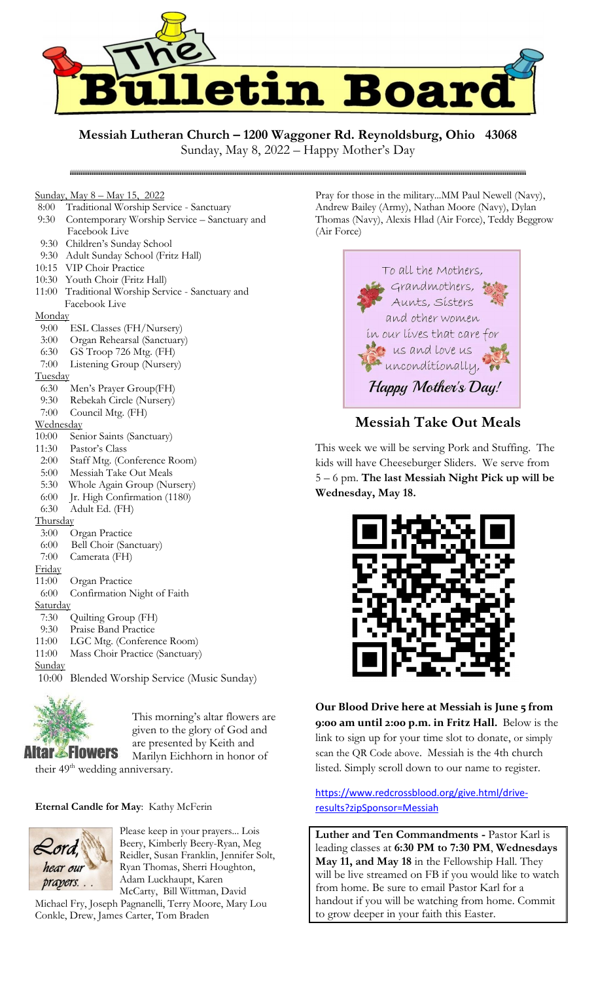

**Messiah Lutheran Church – 1200 Waggoner Rd. Reynoldsburg, Ohio 43068**

Sunday, May 8, 2022 – Happy Mother's Day

#### Sunday, May 8 – May 15, 2022

8:00 Traditional Worship Service - Sanctuary

- 9:30 Contemporary Worship Service Sanctuary and Facebook Live
- 9:30 Children's Sunday School
- 9:30 Adult Sunday School (Fritz Hall)
- 10:15 VIP Choir Practice
- 10:30 Youth Choir (Fritz Hall)
- 11:00 Traditional Worship Service Sanctuary and Facebook Live

## **Monday**

- 9:00 ESL Classes (FH/Nursery)
- 3:00 Organ Rehearsal (Sanctuary)
- 6:30 GS Troop 726 Mtg. (FH)
- 7:00 Listening Group (Nursery)

#### **Tuesday**

- 6:30 Men's Prayer Group(FH)
- 9:30 Rebekah Circle (Nursery)
- 7:00 Council Mtg. (FH)

## **Wednesday**

- 10:00 Senior Saints (Sanctuary)
- 11:30 Pastor's Class
- 2:00 Staff Mtg. (Conference Room)
- 5:00 Messiah Take Out Meals
- 5:30 Whole Again Group (Nursery)
- 6:00 Jr. High Confirmation (1180)
- 6:30 Adult Ed. (FH)

## **Thursday**

- 3:00 Organ Practice
- 6:00 Bell Choir (Sanctuary)
- 7:00 Camerata (FH)
- Friday
- 11:00 Organ Practice
- 6:00 Confirmation Night of Faith

## **Saturday**

- 7:30 Quilting Group (FH)
- 9:30 Praise Band Practice
- 11:00 LGC Mtg. (Conference Room)
- 11:00 Mass Choir Practice (Sanctuary)

## **Sunday**

10:00 Blended Worship Service (Music Sunday)



This morning's altar flowers are given to the glory of God and are presented by Keith and Marilyn Eichhorn in honor of

their 49<sup>th</sup> wedding anniversary.

## **Eternal Candle for May**: Kathy McFerin



Please keep in your prayers... Lois Beery, Kimberly Beery-Ryan, Meg Reidler, Susan Franklin, Jennifer Solt, Ryan Thomas, Sherri Houghton, Adam Luckhaupt, Karen McCarty, Bill Wittman, David

Michael Fry, Joseph Pagnanelli, Terry Moore, Mary Lou Conkle, Drew, James Carter, Tom Braden

Pray for those in the military...MM Paul Newell (Navy), Andrew Bailey (Army), Nathan Moore (Navy), Dylan Thomas (Navy), Alexis Hlad (Air Force), Teddy Beggrow (Air Force)



# **Messiah Take Out Meals**

This week we will be serving Pork and Stuffing. The kids will have Cheeseburger Sliders. We serve from 5 – 6 pm. **The last Messiah Night Pick up will be Wednesday, May 18.**



**Our Blood Drive here at Messiah is June 5 from 9:00 am until 2:00 p.m. in Fritz Hall.** Below is the link to sign up for your time slot to donate, or simply scan the QR Code above. Messiah is the 4th church listed. Simply scroll down to our name to register.

# [https://www.redcrossblood.org/give.html/drive](https://www.redcrossblood.org/give.html/drive-results?zipSponsor=Messiah)[results?zipSponsor=Messiah](https://www.redcrossblood.org/give.html/drive-results?zipSponsor=Messiah)

**Luther and Ten Commandments -** Pastor Karl is leading classes at **6:30 PM to 7:30 PM**, **Wednesdays May 11, and May 18** in the Fellowship Hall. They will be live streamed on FB if you would like to watch from home. Be sure to email Pastor Karl for a handout if you will be watching from home. Commit to grow deeper in your faith this Easter.